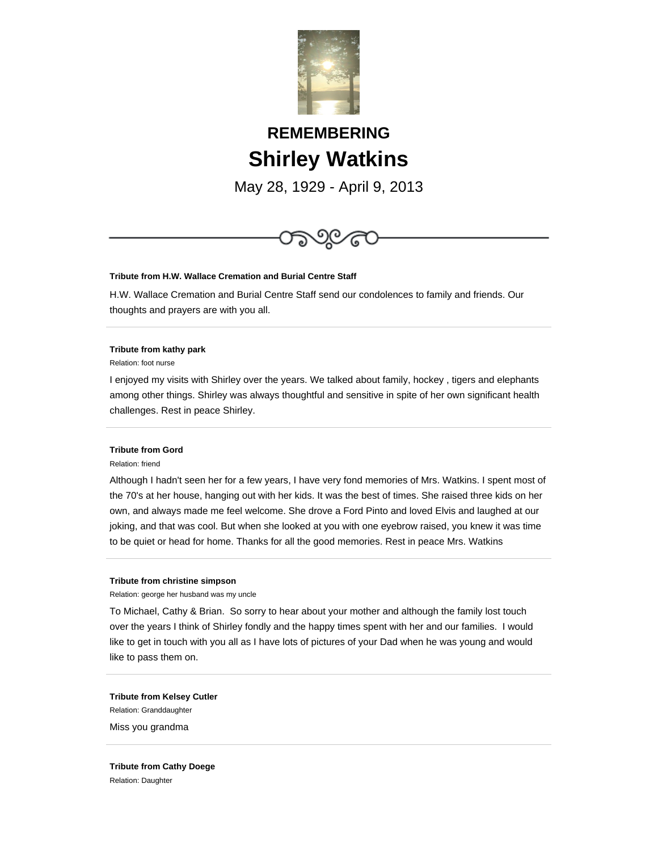

# **REMEMBERING Shirley Watkins**

May 28, 1929 - April 9, 2013



## **Tribute from H.W. Wallace Cremation and Burial Centre Staff**

H.W. Wallace Cremation and Burial Centre Staff send our condolences to family and friends. Our thoughts and prayers are with you all.

### **Tribute from kathy park**

Relation: foot nurse

I enjoyed my visits with Shirley over the years. We talked about family, hockey , tigers and elephants among other things. Shirley was always thoughtful and sensitive in spite of her own significant health challenges. Rest in peace Shirley.

### **Tribute from Gord**

### Relation: friend

Although I hadn't seen her for a few years, I have very fond memories of Mrs. Watkins. I spent most of the 70's at her house, hanging out with her kids. It was the best of times. She raised three kids on her own, and always made me feel welcome. She drove a Ford Pinto and loved Elvis and laughed at our joking, and that was cool. But when she looked at you with one eyebrow raised, you knew it was time to be quiet or head for home. Thanks for all the good memories. Rest in peace Mrs. Watkins

#### **Tribute from christine simpson**

Relation: george her husband was my uncle

To Michael, Cathy & Brian. So sorry to hear about your mother and although the family lost touch over the years I think of Shirley fondly and the happy times spent with her and our families. I would like to get in touch with you all as I have lots of pictures of your Dad when he was young and would like to pass them on.

**Tribute from Kelsey Cutler** Relation: Granddaughter Miss you grandma

**Tribute from Cathy Doege** Relation: Daughter